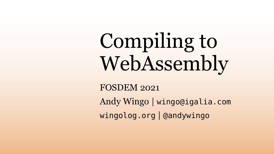Compiling to WebAssembly FOSDEM 2021 Andy Wingo | wingo@igalia.com wingolog.org | @andywingo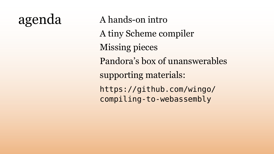## agenda A hands-on intro

- 
- A tiny Scheme compiler
- Missing pieces
- Pandora's box of unanswerables
- supporting materials:
- https://github.com/wingo/ compiling-to-webassembly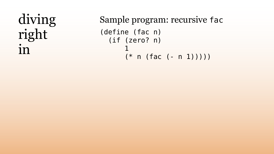## diving right in

- Sample program: recursive fac (define (fac n) (if (zero? n)
	- (\* n (fac (- n 1)))))

1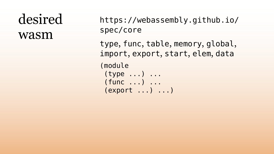### desired wasm

https://webassembly.github.io/

spec/core (module

type, func, table, memory, global, import, export, start, elem, data

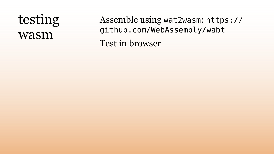#### testing wasm

Assemble using wat2wasm: https:// github.com/WebAssembly/wabt Test in browser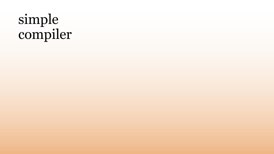# simple compiler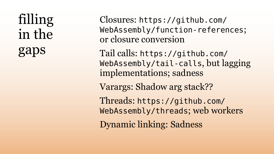# filling in the gaps

Closures: https://github.com/ WebAssembly/function-references; or closure conversion

- Tail calls: https://github.com/ WebAssembly/tail-calls, but lagging implementations; sadness
- Varargs: Shadow arg stack??
- Threads: https://github.com/ WebAssembly/threads; web workers
- Dynamic linking: Sadness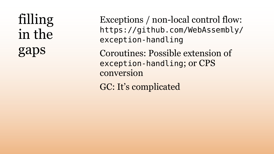filling in the gaps

- Exceptions / non-local control flow: https://github.com/WebAssembly/ exception-handling
- Coroutines: Possible extension of exception-handling; or CPS
- GC: It's complicated

conversion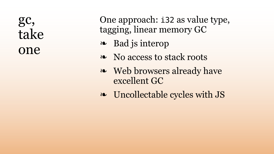#### gc, take one

One approach: i32 as value type, tagging, linear memory GC

- ❧ Bad js interop
- ❧ No access to stack roots
- Web browsers already have excellent GC
- 
- ❧❧ Uncollectable cycles with JS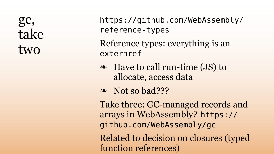gc, take two

- https://github.com/WebAssembly/ reference-types Reference types: everything is an externref
- Have to call run-time (JS) to ❧❧ Not so bad??? allocate, access data
- 
- Take three: GC-managed records and arrays in WebAssembly? https:// github.com/WebAssembly/gc Related to decision on closures (typed function references)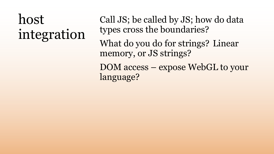# host integration

- Call JS; be called by JS; how do data types cross the boundaries?
- What do you do for strings? Linear memory, or JS strings?
- DOM access expose WebGL to your

language?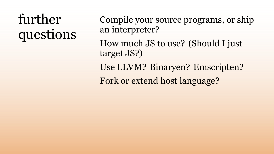# further questions

- Compile your source programs, or ship an interpreter?
- How much JS to use? (Should I just
- Use LLVM? Binaryen? Emscripten?
- Fork or extend host language?

target JS?)